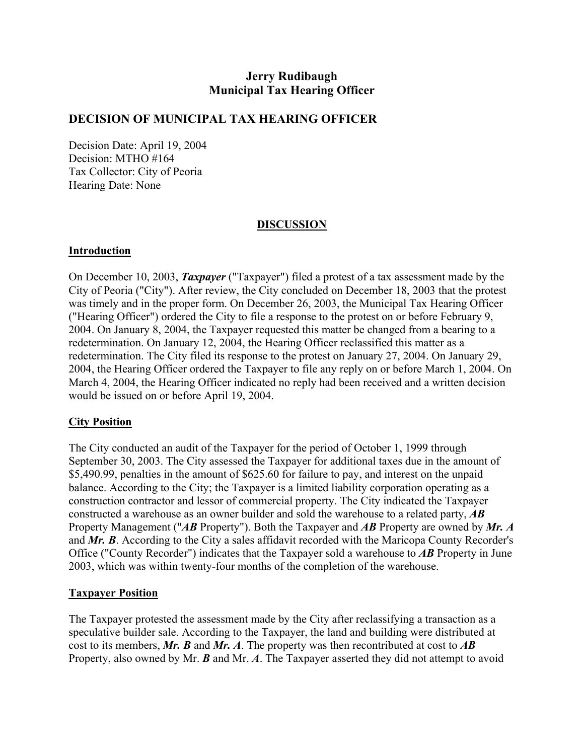# **Jerry Rudibaugh Municipal Tax Hearing Officer**

### **DECISION OF MUNICIPAL TAX HEARING OFFICER**

Decision Date: April 19, 2004 Decision: MTHO #164 Tax Collector: City of Peoria Hearing Date: None

### **DISCUSSION**

#### **Introduction**

On December 10, 2003, *Taxpayer* ("Taxpayer") filed a protest of a tax assessment made by the City of Peoria ("City"). After review, the City concluded on December 18, 2003 that the protest was timely and in the proper form. On December 26, 2003, the Municipal Tax Hearing Officer ("Hearing Officer") ordered the City to file a response to the protest on or before February 9, 2004. On January 8, 2004, the Taxpayer requested this matter be changed from a bearing to a redetermination. On January 12, 2004, the Hearing Officer reclassified this matter as a redetermination. The City filed its response to the protest on January 27, 2004. On January 29, 2004, the Hearing Officer ordered the Taxpayer to file any reply on or before March 1, 2004. On March 4, 2004, the Hearing Officer indicated no reply had been received and a written decision would be issued on or before April 19, 2004.

#### **City Position**

The City conducted an audit of the Taxpayer for the period of October 1, 1999 through September 30, 2003. The City assessed the Taxpayer for additional taxes due in the amount of \$5,490.99, penalties in the amount of \$625.60 for failure to pay, and interest on the unpaid balance. According to the City; the Taxpayer is a limited liability corporation operating as a construction contractor and lessor of commercial property. The City indicated the Taxpayer constructed a warehouse as an owner builder and sold the warehouse to a related party, *AB*  Property Management ("*AB* Property"). Both the Taxpayer and *AB* Property are owned by *Mr. A*  and *Mr. B*. According to the City a sales affidavit recorded with the Maricopa County Recorder's Office ("County Recorder") indicates that the Taxpayer sold a warehouse to *AB* Property in June 2003, which was within twenty-four months of the completion of the warehouse.

#### **Taxpayer Position**

The Taxpayer protested the assessment made by the City after reclassifying a transaction as a speculative builder sale. According to the Taxpayer, the land and building were distributed at cost to its members, *Mr. B* and *Mr. A*. The property was then recontributed at cost to *AB*  Property, also owned by Mr. *B* and Mr. *A*. The Taxpayer asserted they did not attempt to avoid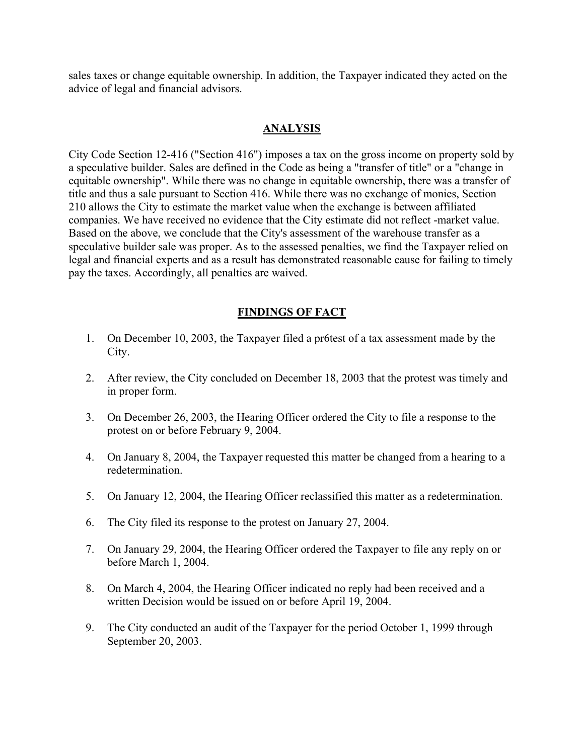sales taxes or change equitable ownership. In addition, the Taxpayer indicated they acted on the advice of legal and financial advisors.

## **ANALYSIS**

City Code Section 12-416 ("Section 416") imposes a tax on the gross income on property sold by a speculative builder. Sales are defined in the Code as being a "transfer of title" or a "change in equitable ownership". While there was no change in equitable ownership, there was a transfer of title and thus a sale pursuant to Section 416. While there was no exchange of monies, Section 210 allows the City to estimate the market value when the exchange is between affiliated companies. We have received no evidence that the City estimate did not reflect -market value. Based on the above, we conclude that the City's assessment of the warehouse transfer as a speculative builder sale was proper. As to the assessed penalties, we find the Taxpayer relied on legal and financial experts and as a result has demonstrated reasonable cause for failing to timely pay the taxes. Accordingly, all penalties are waived.

## **FINDINGS OF FACT**

- 1. On December 10, 2003, the Taxpayer filed a pr6test of a tax assessment made by the City.
- 2. After review, the City concluded on December 18, 2003 that the protest was timely and in proper form.
- 3. On December 26, 2003, the Hearing Officer ordered the City to file a response to the protest on or before February 9, 2004.
- 4. On January 8, 2004, the Taxpayer requested this matter be changed from a hearing to a redetermination.
- 5. On January 12, 2004, the Hearing Officer reclassified this matter as a redetermination.
- 6. The City filed its response to the protest on January 27, 2004.
- 7. On January 29, 2004, the Hearing Officer ordered the Taxpayer to file any reply on or before March 1, 2004.
- 8. On March 4, 2004, the Hearing Officer indicated no reply had been received and a written Decision would be issued on or before April 19, 2004.
- 9. The City conducted an audit of the Taxpayer for the period October 1, 1999 through September 20, 2003.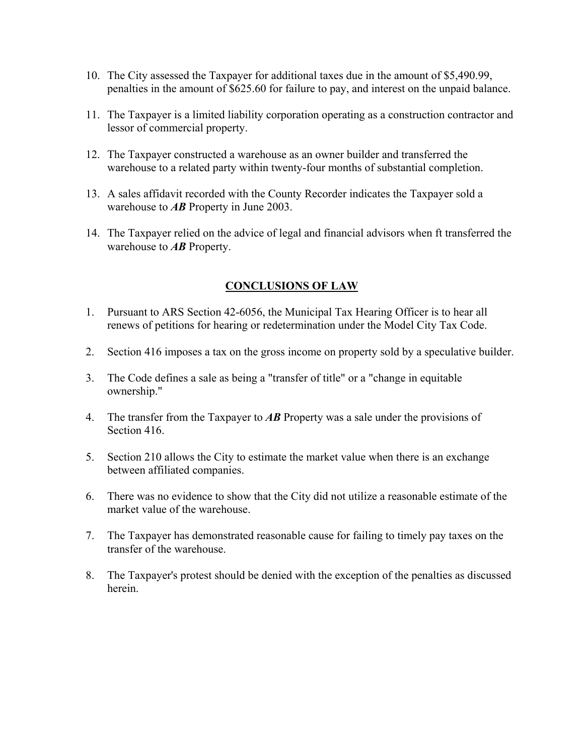- 10. The City assessed the Taxpayer for additional taxes due in the amount of \$5,490.99, penalties in the amount of \$625.60 for failure to pay, and interest on the unpaid balance.
- 11. The Taxpayer is a limited liability corporation operating as a construction contractor and lessor of commercial property.
- 12. The Taxpayer constructed a warehouse as an owner builder and transferred the warehouse to a related party within twenty-four months of substantial completion.
- 13. A sales affidavit recorded with the County Recorder indicates the Taxpayer sold a warehouse to *AB* Property in June 2003.
- 14. The Taxpayer relied on the advice of legal and financial advisors when ft transferred the warehouse to *AB* Property.

## **CONCLUSIONS OF LAW**

- 1. Pursuant to ARS Section 42-6056, the Municipal Tax Hearing Officer is to hear all renews of petitions for hearing or redetermination under the Model City Tax Code.
- 2. Section 416 imposes a tax on the gross income on property sold by a speculative builder.
- 3. The Code defines a sale as being a "transfer of title" or a "change in equitable ownership."
- 4. The transfer from the Taxpayer to *AB* Property was a sale under the provisions of Section 416.
- 5. Section 210 allows the City to estimate the market value when there is an exchange between affiliated companies.
- 6. There was no evidence to show that the City did not utilize a reasonable estimate of the market value of the warehouse.
- 7. The Taxpayer has demonstrated reasonable cause for failing to timely pay taxes on the transfer of the warehouse.
- 8. The Taxpayer's protest should be denied with the exception of the penalties as discussed herein.